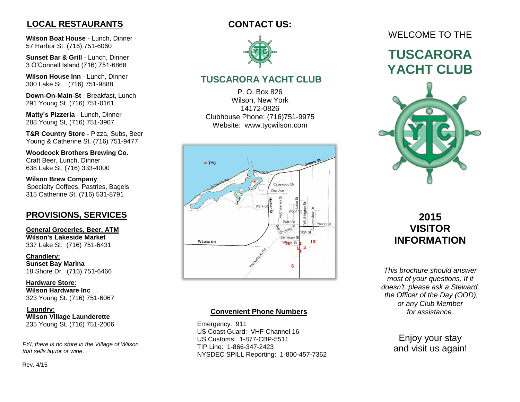## **LOCAL RESTAURANTS**

 **Wilson Boat House** - Lunch, Dinner 57 Harbor St. (716) 751 -6060

 **Sunset Bar & Grill** - Lunch, Dinner 3 O'Connell Island (716) 751 -6868

 **Wilson House Inn** - Lunch, Dinner 300 Lake St. (716) 751 -9888

 **Down -On -Main -St** - Breakfast, Lunch 291 Young St. (716) 751 -0161

 **Matty's Pizz eria** - Lunch, Dinner 288 Young St, (716) 751 -3907

 **T&R Country Store -** Pizza, Subs, Beer Young & Catherine St. (716) 751 -9477

 **Woodcock Brothers Brewing Co**. Craft Beer, Lunch, Dinner 638 Lake St. (716) 333 -4000

 **Wilson Brew Company** Specialty Coffees, Pastries, Bagels 315 Catherine St. (716) 531 -8791

### **PROVISIONS, SERVICES**

**General Groceries, Beer, ATM Wilson's Lakeside Market** 337 Lake St. (716) 751 -6431

 **Chandlery: Sunset Bay Marina** 18 Shore Dr. (716) 751 -6466

**Hardware Store** : **Wilson Hardware Inc** 323 Young St. (716) 751 -6067

> **Laundry: Wilson Village Launderette** 235 Young St. (716) 751 -2006

 *FYI, there is no store in the Village of Wilson that sells liquor or wine .*

Rev. 4/15

## **CONTACT US:**



## **TUSCARORA YACHT CLUB**

P. O. Box 826 Wilson, New York 14172 -0826 Clubhouse Phone: (716)751 -9975 Website: www.tycwilson.com



#### **Convenient Phone Numbers**

 Emergency: 911 US Coast Guard: VHF Channel 16 US Customs: 1 -877 -CBP -5511 TIP Line: 1 -866 -347 -2423 NYSDEC SPILL Reporting: 1 -800 -457 -7362

# WELCOME TO THE

# **TUSCARORA YACHT CLUB**



# **2015 VISITOR INFORMATION**

*This brochure should answer most of your questions. If it doesn't, please ask a Steward, the Officer of the Day (OOD) , or any Club Member for assistance .*

> Enjoy your stay and visit us again!